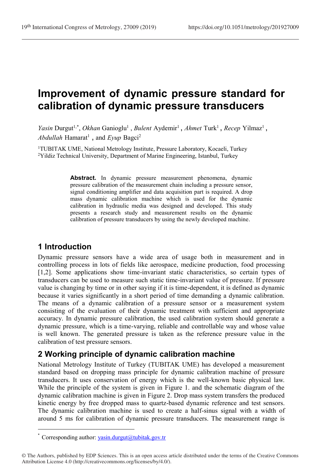# **Improvement of dynamic pressure standard for calibration of dynamic pressure transducers**

Yasin Durgut<sup>1,\*</sup>, Okhan Ganioglu<sup>1</sup>, Bulent Aydemir<sup>1</sup>, Ahmet Turk<sup>1</sup>, Recep Yilmaz<sup>1</sup>, Abdullah Hamarat<sup>1</sup>, and *Eyup* Bagci<sup>2</sup>

<sup>1</sup>TUBITAK UME, National Metrology Institute, Pressure Laboratory, Kocaeli, Turkey <sup>2</sup>Yildiz Technical University, Department of Marine Engineering, Istanbul, Turkey

> Abstract. In dynamic pressure measurement phenomena, dynamic pressure calibration of the measurement chain including a pressure sensor, signal conditioning amplifier and data acquisition part is required. A drop mass dynamic calibration machine which is used for the dynamic calibration in hydraulic media was designed and developed. This study presents a research study and measurement results on the dynamic calibration of pressure transducers by using the newly developed machine.

### **1 Introduction**

l

Dynamic pressure sensors have a wide area of usage both in measurement and in controlling process in lots of fields like aerospace, medicine production, food processing [1,2]. Some applications show time-invariant static characteristics, so certain types of transducers can be used to measure such static time-invariant value of pressure. If pressure value is changing by time or in other saying if it is time-dependent, it is defined as dynamic because it varies significantly in a short period of time demanding a dynamic calibration. The means of a dynamic calibration of a pressure sensor or a measurement system consisting of the evaluation of their dynamic treatment with sufficient and appropriate accuracy. In dynamic pressure calibration, the used calibration system should generate a dynamic pressure, which is a time-varying, reliable and controllable way and whose value is well known. The generated pressure is taken as the reference pressure value in the calibration of test pressure sensors.

### **2 Working principle of dynamic calibration machine**

National Metrology Institute of Turkey (TUBITAK UME) has developed a measurement standard based on dropping mass principle for dynamic calibration machine of pressure transducers. It uses conservation of energy which is the well-known basic physical law. While the principle of the system is given in Figure 1. and the schematic diagram of the dynamic calibration machine is given in Figure 2. Drop mass system transfers the produced kinetic energy by free dropped mass to quartz-based dynamic reference and test sensors. The dynamic calibration machine is used to create a half-sinus signal with a width of around 5 ms for calibration of dynamic pressure transducers. The measurement range is

Corresponding author:  $yasin.durgut@tubitak.gov.tr$ 

<sup>©</sup> The Authors, published by EDP Sciences. This is an open access article distributed under the terms of the Creative Commons Attribution License 4.0 (http://creativecommons.org/licenses/by/4.0/).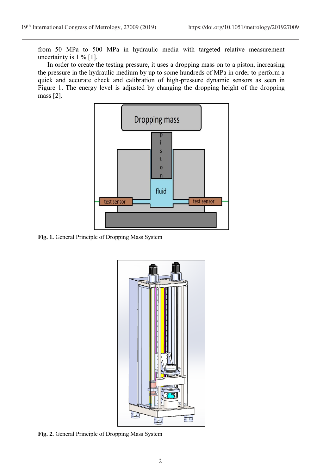from 50 MPa to 500 MPa in hydraulic media with targeted relative measurement uncertainty is  $1\%$  [1].

In order to create the testing pressure, it uses a dropping mass on to a piston, increasing the pressure in the hydraulic medium by up to some hundreds of MPa in order to perform a quick and accurate check and calibration of high-pressure dynamic sensors as seen in Figure 1. The energy level is adjusted by changing the dropping height of the dropping mass [2].



**Fig. 1.** General Principle of Dropping Mass System



**Fig. 2.** General Principle of Dropping Mass System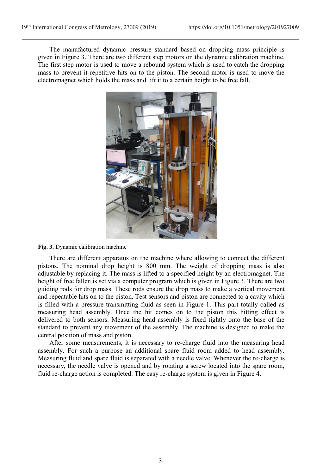The manufactured dynamic pressure standard based on dropping mass principle is given in Figure 3. There are two different step motors on the dynamic calibration machine. The first step motor is used to move a rebound system which is used to catch the dropping mass to prevent it repetitive hits on to the piston. The second motor is used to move the electromagnet which holds the mass and lift it to a certain height to be free fall.



#### **Fig. 3.** Dynamic calibration machine

There are different apparatus on the machine where allowing to connect the different pistons. The nominal drop height is 800 mm. The weight of dropping mass is also adjustable by replacing it. The mass is lifted to a specified height by an electromagnet. The height of free fallen is set via a computer program which is given in Figure 3. There are two guiding rods for drop mass. These rods ensure the drop mass to make a vertical movement and repeatable hits on to the piston. Test sensors and piston are connected to a cavity which is filled with a pressure transmitting fluid as seen in Figure 1. This part totally called as measuring head assembly. Once the hit comes on to the piston this hitting effect is delivered to both sensors. Measuring head assembly is fixed tightly onto the base of the standard to prevent any movement of the assembly. The machine is designed to make the central position of mass and piston.

After some measurements, it is necessary to re-charge fluid into the measuring head assembly. For such a purpose an additional spare fluid room added to head assembly. Measuring fluid and spare fluid is separated with a needle valve. Whenever the re-charge is necessary, the needle valve is opened and by rotating a screw located into the spare room, fluid re-charge action is completed. The easy re-charge system is given in Figure 4.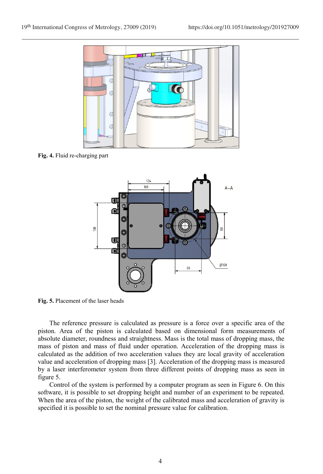

**Fig. 4.** Fluid re-charging part



**Fig. 5.** Placement of the laser heads

The reference pressure is calculated as pressure is a force over a specific area of the piston. Area of the piston is calculated based on dimensional form measurements of absolute diameter, roundness and straightness. Mass is the total mass of dropping mass, the mass of piston and mass of fluid under operation. Acceleration of the dropping mass is calculated as the addition of two acceleration values they are local gravity of acceleration value and acceleration of dropping mass [3]. Acceleration of the dropping mass is measured by a laser interferometer system from three different points of dropping mass as seen in figure 5.

Control of the system is performed by a computer program as seen in Figure 6. On this software, it is possible to set dropping height and number of an experiment to be repeated. When the area of the piston, the weight of the calibrated mass and acceleration of gravity is specified it is possible to set the nominal pressure value for calibration.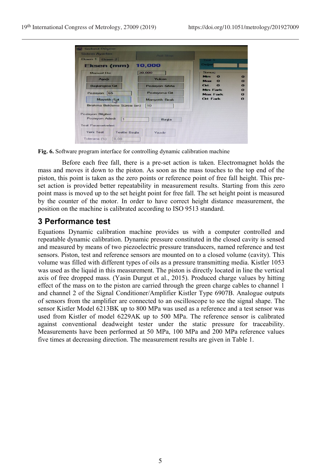| <b>Audi Store</b>                 | <b>EXPERTING</b>               |                                              |
|-----------------------------------|--------------------------------|----------------------------------------------|
| 10,000                            | Desier                         |                                              |
| 20,000                            | <b>Sonuc</b>                   |                                              |
| Yukan                             | <b>Max</b><br>$\mathbf \Omega$ |                                              |
| <b>Pozisyon Sifirla</b>           | $Ort \t0$                      |                                              |
| Pozisyona Git                     | <b>Max Fark</b>                |                                              |
| <b>Manyetik Birak</b>             | Ort Fark                       |                                              |
| Bırakma Bekleme Süresi (sn)<br>10 |                                |                                              |
| Başla                             |                                |                                              |
|                                   |                                |                                              |
| <b>Testte Başla</b><br>Yazdır     |                                |                                              |
|                                   |                                | <b>Mirs</b><br>$\mathbf{\Omega}$<br>Min Fark |

**Fig. 6.** Software program interface for controlling dynamic calibration machine

Before each free fall, there is a pre-set action is taken. Electromagnet holds the mass and moves it down to the piston. As soon as the mass touches to the top end of the piston, this point is taken as the zero points or reference point of free fall height. This preset action is provided better repeatability in measurement results. Starting from this zero point mass is moved up to the set height point for free fall. The set height point is measured by the counter of the motor. In order to have correct height distance measurement, the position on the machine is calibrated according to ISO 9513 standard.

## **3 Performance test**

Equations Dynamic calibration machine provides us with a computer controlled and repeatable dynamic calibration. Dynamic pressure constituted in the closed cavity is sensed and measured by means of two piezoelectric pressure transducers, named reference and test sensors. Piston, test and reference sensors are mounted on to a closed volume (cavity). This volume was filled with different types of oils as a pressure transmitting media. Kistler 1053 was used as the liquid in this measurement. The piston is directly located in line the vertical axis of free dropped mass. (Yasin Durgut et al., 2015). Produced charge values by hitting effect of the mass on to the piston are carried through the green charge cables to channel 1 and channel 2 of the Signal Conditioner/Amplifier Kistler Type 6907B. Analogue outputs of sensors from the amplifier are connected to an oscilloscope to see the signal shape. The sensor Kistler Model 6213BK up to 800 MPa was used as a reference and a test sensor was used from Kistler of model 6229AK up to 500 MPa. The reference sensor is calibrated against conventional deadweight tester under the static pressure for traceability. Measurements have been performed at 50 MPa, 100 MPa and 200 MPa reference values five times at decreasing direction. The measurement results are given in Table 1.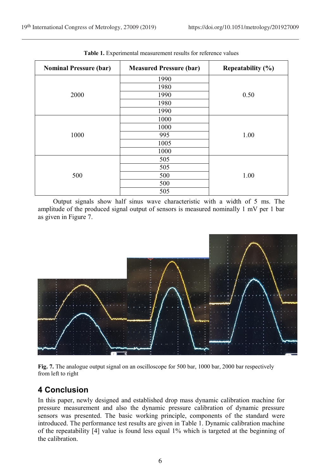| <b>Nominal Pressure (bar)</b> | <b>Measured Pressure (bar)</b> | Repeatability $(\% )$ |
|-------------------------------|--------------------------------|-----------------------|
|                               | 1990                           |                       |
|                               | 1980                           |                       |
| 2000                          | 1990                           | 0.50                  |
|                               | 1980                           |                       |
|                               | 1990                           |                       |
| 1000                          | 1000                           |                       |
|                               | 1000                           |                       |
|                               | 995                            | 1.00                  |
|                               | 1005                           |                       |
|                               | 1000                           |                       |
| 500                           | 505                            |                       |
|                               | 505                            |                       |
|                               | 500                            | 1.00                  |
|                               | 500                            |                       |
|                               | 505                            |                       |

**Table 1.** Experimental measurement results for reference values

Output signals show half sinus wave characteristic with a width of 5 ms. The amplitude of the produced signal output of sensors is measured nominally 1 mV per 1 bar as given in Figure 7.



**Fig. 7.** The analogue output signal on an oscilloscope for 500 bar, 1000 bar, 2000 bar respectively from left to right

# **4 Conclusion**

In this paper, newly designed and established drop mass dynamic calibration machine for pressure measurement and also the dynamic pressure calibration of dynamic pressure sensors was presented. The basic working principle, components of the standard were introduced. The performance test results are given in Table 1. Dynamic calibration machine of the repeatability [4] value is found less equal 1% which is targeted at the beginning of the calibration.